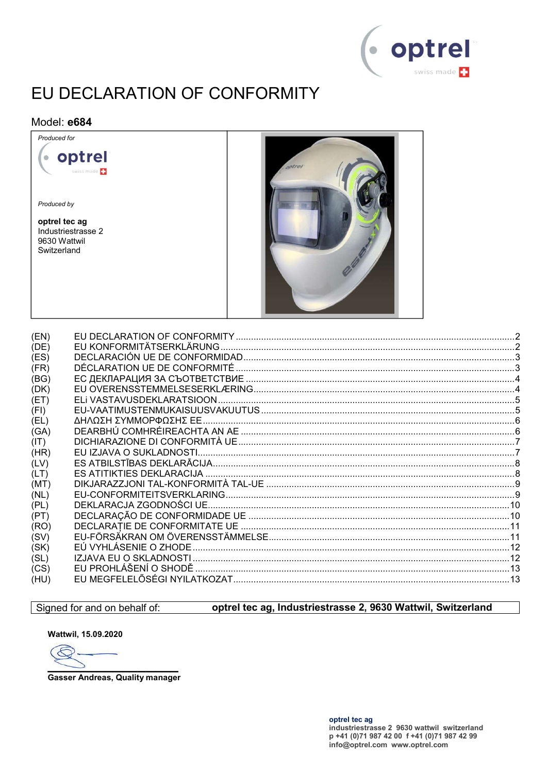

## EU DECLARATION OF CONFORMITY

#### Model: e684



| (DK) |  |
|------|--|
| (ET) |  |
| (FI) |  |
| (EL) |  |
| (GA) |  |
| (IT) |  |
| (HR) |  |
| (LV) |  |
| (LT) |  |
| (MT) |  |
| (NL) |  |
| (PL) |  |
| (PT) |  |
| (RO) |  |
| (SV) |  |
| (SK) |  |
| (SL) |  |
| (CS) |  |
| (HU) |  |
|      |  |

#### Signed for and on behalf of:

#### optrel tec aq, Industriestrasse 2, 9630 Wattwil, Switzerland

Wattwil, 15.09.2020

 $\epsilon$ 

**Gasser Andreas, Quality manager**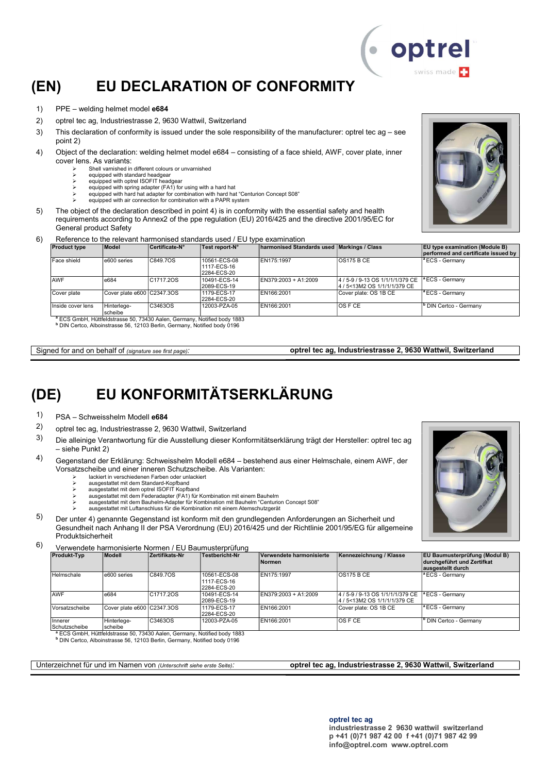## (EN) EU DECLARATION OF CONFORMITY

- 1) PPE welding helmet model e684
- 2) optrel tec ag, Industriestrasse 2, 9630 Wattwil, Switzerland
- 3) This declaration of conformity is issued under the sole responsibility of the manufacturer: optrel tec ag see point 2)
- 4) Object of the declaration: welding helmet model e684 consisting of a face shield, AWF, cover plate, inner cover lens. As variants:
	- Shell varnished in different colours or unvarnished
	- equipped with standard headgear equipped with optrel ISOFIT headgear
	- equipped with spring adapter (FA1) for using with a hard hat
	- equipped with hard hat adapter for combination with hard hat "Centurion Concept S08"
	- equipped with air connection for combination with a PAPR system
- 5) The object of the declaration described in point 4) is in conformity with the essential safety and health requirements according to Annex2 of the ppe regulation (EU) 2016/425 and the directive 2001/95/EC for General product Safety
- 6) Reference to the relevant harmonised standards used / EU type examination

| <b>Product type</b> | Model                      | Certificate-N°         | Test report-N°                             | <b>harmonised Standards used Markings / Class</b> |                                                                   | <b>EU type examination (Module B)</b><br>performed and certificate issued by |
|---------------------|----------------------------|------------------------|--------------------------------------------|---------------------------------------------------|-------------------------------------------------------------------|------------------------------------------------------------------------------|
| Face shield         | e600 series                | C849.7OS               | 10561-ECS-08<br>1117-ECS-16<br>2284-ECS-20 | EN175:1997                                        | <b>OS175 B CE</b>                                                 | $\vert$ <sup>a</sup> ECS - Germany                                           |
| <b>AWF</b>          | e684                       | C <sub>1717.2</sub> OS | 10491-ECS-14<br>2089-ECS-19                | EN379:2003 + A1:2009                              | 4 / 5-9 / 9-13 OS 1/1/1/1/379 CE<br>14 / 5<13M2 OS 1/1/1/1/379 CE | $\vert$ <sup>a</sup> ECS - Germany                                           |
| Cover plate         | Cover plate e600 C2347.3OS |                        | 1179-ECS-17<br>2284-ECS-20                 | EN166:2001                                        | Cover plate: OS 1B CE                                             | $\vert$ <sup>a</sup> ECS - Germany                                           |
| Inside cover lens   | Hinterlege-<br>scheibe     | C3463OS                | 12003-PZA-05                               | EN166:2001                                        | IOS F CE                                                          | <sup>b</sup> DIN Certco - Germany                                            |

S GmbH, Hüttfeldstrasse 50, 73430 Aalen, Germany, Notified body 1883 b DIN Certco, Alboinstrasse 56, 12103 Berlin, Germany, Notified body 0196

Signed for and on behalf of (signature see first page): **optrel tec ag, Industriestrasse 2, 9630 Wattwil, Switzerland** 

### (DE) EU KONFORMITÄTSERKLÄRUNG

- 1) PSA Schweisshelm Modell e684
- 2) optrel tec ag, Industriestrasse 2, 9630 Wattwil, Switzerland
- 3) Die alleinige Verantwortung für die Ausstellung dieser Konformitätserklärung trägt der Hersteller: optrel tec ag – siehe Punkt 2)
- 4) Gegenstand der Erklärung: Schweisshelm Modell e684 bestehend aus einer Helmschale, einem AWF, der Vorsatzscheibe und einer inneren Schutzscheibe. Als Varianten:
	- lackiert in verschiedenen Farben oder unlackiert
	- ausgestattet mit dem Standard-Kopfband ausgestattet mit dem optrel ISOFIT Kopfband
	- ausgestattet mit dem Federadapter (FA1) für Kombination mit einem Bauhelm
	- ausgestattet mit dem Bauhelm-Adapter für Kombination mit Bauhelm "Centurion Concept S08"
	- ausgestattet mit Luftanschluss für die Kombination mit einem Atemschutzgerät
- 5) Der unter 4) genannte Gegenstand ist konform mit den grundlegenden Anforderungen an Sicherheit und Gesundheit nach Anhang II der PSA Verordnung (EU) 2016/425 und der Richtlinie 2001/95/EG für allgemeine Produktsicherheit
- 6) Verwendete harmonisierte Normen / EU Baumusterprüfung

| <b>Produkt-Typ</b>              | Modell                     | Zertifikats-Nr | <b>Testbericht-Nr</b>                      | Verwendete harmonisierte<br><b>Normen</b> | Kennezeichnung / Klasse                                      | <b>EU Baumusterprüfung (Modul B)</b><br>durchgeführt und Zertifkat<br>ausgestellt durch |
|---------------------------------|----------------------------|----------------|--------------------------------------------|-------------------------------------------|--------------------------------------------------------------|-----------------------------------------------------------------------------------------|
| Helmschale                      | e600 series                | C849.7OS       | 10561-ECS-08<br>1117-ECS-16<br>2284-ECS-20 | EN175:1997                                | OS175BCE                                                     | <sup>1ª</sup> ECS - Germany                                                             |
| <b>AWF</b>                      | e684                       | C1717.2OS      | 10491-ECS-14<br>2089-ECS-19                | EN379:2003 + A1:2009                      | 4/5-9/9-13 OS 1/1/1/1/379 CE<br>4 / 5<13M2 OS 1/1/1/1/379 CE | $\vert$ <sup>a</sup> ECS - Germany                                                      |
| Vorsatzscheibe                  | Cover plate e600 C2347.3OS |                | 1179-ECS-17<br>2284-ECS-20                 | EN166:2001                                | Cover plate: OS 1B CE                                        | $\vert$ <sup>a</sup> ECS - Germany                                                      |
| <b>Innerer</b><br>Schutzscheibe | Hinterlege-<br>scheibe     | C3463OS        | 12003-PZA-05                               | EN166:2001                                | <b>OS F CE</b>                                               | <sup>b</sup> DIN Certco - Germany                                                       |

Schutzscheibe scheibe <sup>a</sup> ECS GmbH, Hüttfeldstrasse 50, 73430 Aalen, Germany, Notified body 1883 b DIN Certco, Alboinstrasse 56, 12103 Berlin, Germany, Notified body 0196

Unterzeichnet für und im Namen von (Unterschrift siehe erste Seite): **optrel tec ag, Industriestrasse 2, 9630 Wattwil, Switzerland** 



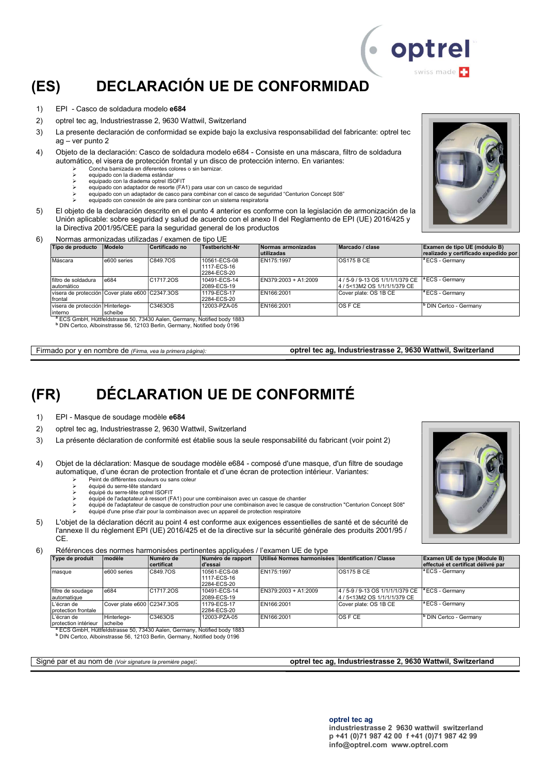## (ES) DECLARACIÓN UE DE CONFORMIDAD

- 1) EPI Casco de soldadura modelo e684
- 2) optrel tec ag, Industriestrasse 2, 9630 Wattwil, Switzerland
- 3) La presente declaración de conformidad se expide bajo la exclusiva responsabilidad del fabricante: optrel tec ag – ver punto 2
- 4) Objeto de la declaración: Casco de soldadura modelo e684 Consiste en una máscara, filtro de soldadura automático, el visera de protección frontal y un disco de protección interno. En variantes:
	- Concha barnizada en diferentes colores o sin barnizar.
	- equipado con la diadema estándar equipado con la diadema optrel ISOFIT<br>equipado con la diadema optrel ISOFIT
		- equipado con adaptador de resorte (FA1) para usar con un casco de seguridad
	- equipado con un adaptador de casco para combinar con el casco de seguridad "Centurion Concept S08"
	- equipado con conexión de aire para combinar con un sistema respiratoria
- 5) El objeto de la declaración descrito en el punto 4 anterior es conforme con la legislación de armonización de la Unión aplicable: sobre seguridad y salud de acuerdo con el anexo II del Reglamento de EPI (UE) 2016/425 y la Directiva 2001/95/CEE para la seguridad general de los productos
- 6) Normas armonizadas utilizadas / examen de tipo UE

| Tipo de producto                                           | <b>Modelo</b> | Certificado no         | Testbericht-Nr                             | Normas armonizadas<br>lutilizadas | Marcado / clase                                                   | Examen de tipo UE (módulo B)<br>realizado y certificado expedido por |
|------------------------------------------------------------|---------------|------------------------|--------------------------------------------|-----------------------------------|-------------------------------------------------------------------|----------------------------------------------------------------------|
| Máscara                                                    | e600 series   | C849.7OS               | 10561-ECS-08<br>1117-ECS-16<br>2284-ECS-20 | EN175:1997                        | <b>OS175 B CE</b>                                                 | <sup>a</sup> ECS - Germany                                           |
| filtro de soldadura<br>automático                          | e684          | C <sub>1717.2</sub> OS | 10491-ECS-14<br>2089-ECS-19                | EN379:2003 + A1:2009              | 4 / 5-9 / 9-13 OS 1/1/1/1/379 CE<br>l4 / 5<13M2 OS 1/1/1/1/379 CE | <sup>1</sup> ECS - Germany                                           |
| visera de protección Cover plate e600 C2347.3OS<br>frontal |               |                        | 1179-ECS-17<br>2284-ECS-20                 | EN166:2001                        | ICover plate: OS 1B CE                                            | <sup>1ª</sup> ECS - Germany                                          |
| visera de protección Hinterlege-<br>linterno               | scheibe       | C3463OS                | 12003-PZA-05                               | EN166:2001                        | IOS F CE                                                          | I <sup>o</sup> DIN Certco - Germany                                  |

S GmbH, Hüttfeldstrasse 50, 73430 Aalen, Germany, Notified body 1883

b DIN Certco, Alboinstrasse 56, 12103 Berlin, Germany, Notified body 0196

Firmado por y en nombre de (Firma, vea la primera página): optrel tec ag, Industriestrasse 2, 9630 Wattwil, Switzerland

### (FR) DÉCLARATION UE DE CONFORMITÉ

- 1) EPI Masque de soudage modèle e684
- 2) optrel tec ag, Industriestrasse 2, 9630 Wattwil, Switzerland
- 3) La présente déclaration de conformité est établie sous la seule responsabilité du fabricant (voir point 2)
- 4) Objet de la déclaration: Masque de soudage modèle e684 composé d'une masque, d'un filtre de soudage automatique, d'une écran de protection frontale et d'une écran de protection intérieur. Variantes:
	- Peint de différentes couleurs ou sans coleur équipé du serre-tête standard
	- équipé du serre-tête optrel ISOFIT
	- équipé de l'adaptateur à ressort (FA1) pour une combinaison avec un casque de chantier
	- équipé de l'adaptateur de casque de construction pour une combinaison avec le casque de construction "Centurion Concept S08"
	- équipé d'une prise d'air pour la combinaison avec un appareil de protection respiratoire
- 5) L'objet de la déclaration décrit au point 4 est conforme aux exigences essentielles de santé et de sécurité de l'annexe II du règlement EPI (UE) 2016/425 et de la directive sur la sécurité générale des produits 2001/95 / CE.

6) Références des normes harmonisées pertinentes appliquées / l'examen UE de type

| Type de produit                     | modèle                     | Numéro de<br><b>certificat</b> | Numéro de rapport<br>d'essai               | Utilisé Normes harmonisées Identification / Classe |                                                                  | Examen UE de type (Module B)<br>effectué et certificat délivré par |
|-------------------------------------|----------------------------|--------------------------------|--------------------------------------------|----------------------------------------------------|------------------------------------------------------------------|--------------------------------------------------------------------|
| masque                              | e600 series                | C849.7OS                       | 10561-ECS-08<br>1117-ECS-16<br>2284-ECS-20 | EN175:1997                                         | <b>OS175 B CE</b>                                                | $\vert$ <sup>a</sup> ECS - Germany                                 |
| filtre de soudage<br>automatique    | e684                       | C1717.2OS                      | 10491-ECS-14<br>2089-ECS-19                | $EN379:2003 + A1:2009$                             | 4 / 5-9 / 9-13 OS 1/1/1/1/379 CE<br>4 / 5<13M2 OS 1/1/1/1/379 CE | $\vert$ <sup>a</sup> ECS - Germany                                 |
| L'écran de<br>protection frontale   | Cover plate e600 C2347.3OS |                                | 1179-ECS-17<br>2284-ECS-20                 | EN166:2001                                         | Cover plate: OS 1B CE                                            | <sup>a</sup> ECS - Germany                                         |
| L'écran de<br>Iprotection intérieur | Hinterlege-<br>scheibe     | C3463OS                        | 12003-PZA-05                               | EN166:2001                                         | <b>OS F CE</b>                                                   | <sup>b</sup> DIN Certco - Germany                                  |

protection intérieur [scheibe<br>『ECS GmbH, Hüttfeldstrasse 50, 73430 Aalen, Germany, Notified body 1883<br>『DIN Certco, Alboinstrasse 56, 12103 Berlin, Germany, Notified body 0196

Signé par et au nom de (Voir signature la première page): **optrel tec ag, Industriestrasse 2, 9630 Wattwil, Switzerland** 





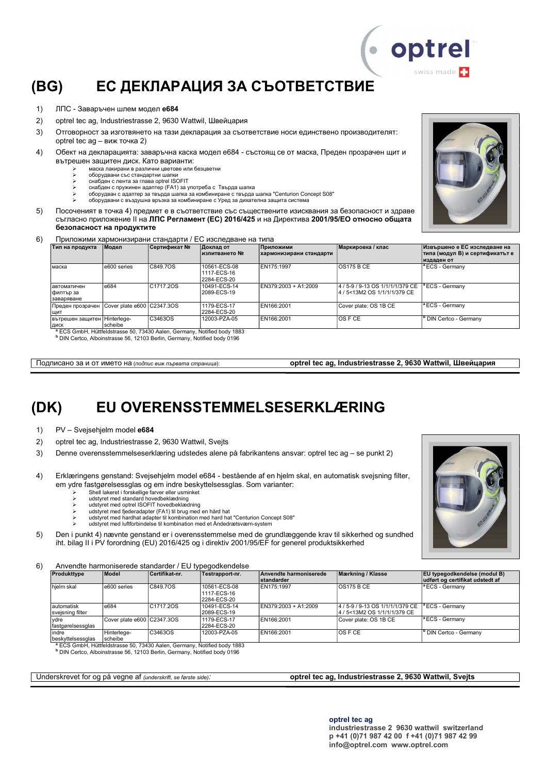## (BG) ЕС ДЕКЛАРАЦИЯ ЗА СЪОТВЕТСТВИЕ

- 1) ЛПС Заваръчен шлем модел e684
- 2) optrel tec ag, Industriestrasse 2, 9630 Wattwil, Швейцария
- 3) Отговорност за изготвянето на тази декларация за съответствие носи единствено производителят: optrel tec ag – виж точка 2)
- 4) Обект на декларацията: заваръчна каска модел e684 състоящ се от маска, Преден прозрачен щит и вътрешен защитен диск. Като варианти:
	- маска лакирани в различни цветове или безцветни
	- оборудвани със стандартни шапки
	- Software compared of the compared in the comparability of the compared ISOFIT Software compared ISOFIT Software compared ISOFIT Software compared in the compared in the compared in the compared in the compared in the comp снабден с пружинен адаптер (FA1) за употреба с Твърда шапка
	- оборудван с адаптер за твърда шапка за комбиниране с твърда шапка "Centurion Concept S08"
	- оборудвани с въздушна връзка за комбиниране с Уред за дихателна защита систем
- 5) Посоченият в точка 4) предмет е в съответствие със съществените изисквания за безопасност и здраве съгласно приложение ІІ на ЛПС Регламент (ЕС) 2016/425 и на Директива 2001/95/ЕО относно общата безопасност на продуктите

6) Приложими хармонизирани стандарти / ЕС изследване на типа

| Тип на продукта                         | Модел                      | Сертификат №                                                                                                                                                                                                                                                                                                                                                                                    | Доклад от<br>изпитването №                 | <b>Приложими</b><br>хармонизирани стандарти | Маркировка / клас                                                 | Извършено е ЕС изследване на<br> типа (модул В) и сертификатът е<br>издаден от |
|-----------------------------------------|----------------------------|-------------------------------------------------------------------------------------------------------------------------------------------------------------------------------------------------------------------------------------------------------------------------------------------------------------------------------------------------------------------------------------------------|--------------------------------------------|---------------------------------------------|-------------------------------------------------------------------|--------------------------------------------------------------------------------|
| маска                                   | e600 series                | C849.7OS                                                                                                                                                                                                                                                                                                                                                                                        | 10561-ECS-08<br>1117-ECS-16<br>2284-ECS-20 | EN175:1997                                  | <b>OS175 B CE</b>                                                 | $\vert$ <sup>a</sup> ECS - Germany                                             |
| Іавтоматичен<br>филтър за<br>заваряване | e684                       | C1717.20S                                                                                                                                                                                                                                                                                                                                                                                       | 10491-ECS-14<br>2089-ECS-19                | EN379:2003 + A1:2009                        | 4 / 5-9 / 9-13 OS 1/1/1/1/379 CE<br>l4 / 5<13M2 OS 1/1/1/1/379 CE | $\vert$ <sup>a</sup> ECS - Germany                                             |
| Преден прозрачен<br>ШИТ                 | Cover plate e600 C2347.3OS |                                                                                                                                                                                                                                                                                                                                                                                                 | 1179-ECS-17<br>2284-ECS-20                 | EN166:2001                                  | Cover plate: OS 1B CE                                             | <sup>a</sup> ECS - Germany                                                     |
| вътрешен защитен   Hinterlege-<br>ДИСК  | scheibe                    | C3463OS<br>$\overline{a}$ $\overline{a}$ $\overline{a}$ $\overline{a}$ $\overline{a}$ $\overline{a}$ $\overline{a}$ $\overline{a}$ $\overline{a}$ $\overline{a}$ $\overline{a}$ $\overline{a}$ $\overline{a}$ $\overline{a}$ $\overline{a}$ $\overline{a}$ $\overline{a}$ $\overline{a}$ $\overline{a}$ $\overline{a}$ $\overline{a}$ $\overline{a}$ $\overline{a}$ $\overline{a}$ $\overline{$ | 12003-PZA-05                               | EN166:2001                                  | OS F CE                                                           | <sup>b</sup> DIN Certco - Germany                                              |

<sup>a</sup> ECS GmbH, Hüttfeldstrasse 50, 73430 Aalen, Germany, Notified body 1883<br><sup>b</sup> DIN Certco, Alboinstrasse 56, 12103 Berlin, Germany, Notified body 0196

Подписано за и от името на (подпис виж първата страница): **optrel tec ag, Industriestrasse 2, 9630 Wattwil, Швейцария** 

## (DK) EU OVERENSSTEMMELSESERKLÆRING

- 1) PV Svejsehjelm model e684
- 2) optrel tec ag, Industriestrasse 2, 9630 Wattwil, Svejts
- 3) Denne overensstemmelseserklæring udstedes alene på fabrikantens ansvar: optrel tec ag se punkt 2)
- 4) Erklæringens genstand: Svejsehjelm model e684 bestående af en hjelm skal, en automatisk svejsning filter, em ydre fastgørelsessglas og em indre beskyttelsessglas. Som varianter:
	- Shell lakeret i forskellige farver eller usminket udstyret med standard hovedbeklædning
	-
	-
	- > udstyret med optrel ISOFIT hovedbeklædning<br>> udstyret med fjederadapter (FA1) til brug med en hård hat<br>> udstyret med hardhat adapter til kombination med hard hat "Centurion Concept S08"
	- udstyret med luftforbindelse til kombination med et Åndedrætsværn-system
- 5) Den i punkt 4) nævnte genstand er i overensstemmelse med de grundlæggende krav til sikkerhed og sundhed iht. bilag II i PV forordning (EU) 2016/425 og i direktiv 2001/95/EF for generel produktsikkerhed

6) Anvendte harmoniserede standarder / EU typegodkendelse

| Produkttype                    | Model                      | Certifikat nr. | Testrapport-nr.                            | Anvendte harmoniserede<br><b>standarder</b> | Mærkning / Klasse                                                | <b>EU</b> typegodkendelse (modul B)<br>udført og certifikat udstedt af |
|--------------------------------|----------------------------|----------------|--------------------------------------------|---------------------------------------------|------------------------------------------------------------------|------------------------------------------------------------------------|
| hielm skal                     | e600 series                | C849.7OS       | 10561-ECS-08<br>1117-ECS-16<br>2284-ECS-20 | EN175:1997                                  | OS175 B CE                                                       | $\sqrt{P_{\text{ECS}}}$ - Germany                                      |
| automatisk<br>svejsning filter | e684                       | C1717.20S      | 10491-ECS-14<br>2089-ECS-19                | EN379:2003 + A1:2009                        | 4 / 5-9 / 9-13 OS 1/1/1/1/379 CE<br>4 / 5<13M2 OS 1/1/1/1/379 CE | $\vert$ <sup>a</sup> ECS - Germany                                     |
| vdre<br>fastgørelsessglas      | Cover plate e600 C2347.3OS |                | 1179-ECS-17<br>2284-ECS-20                 | EN166:2001                                  | Cover plate: OS 1B CE                                            | <sup>a</sup> ECS - Germany                                             |
| indre<br>beskyttelsessglas     | Hinterlege-<br>scheibe     | C3463OS        | 12003-PZA-05                               | EN166:2001                                  | IOS F CE                                                         | <sup>b</sup> DIN Certco - Germany                                      |

<sup>a</sup> ECS GmbH, Hüttfeldstrasse 50, 73430 Aalen, Germany, Notified body 1883<br><sup>b</sup> DIN Certco, Alboinstrasse 56, 12103 Berlin, Germany, Notified body 0196

#### Underskrevet for og på vegne af (underskrift, se første side): **optrel tec ag, Industriestrasse 2, 9630 Wattwil, Svejts**





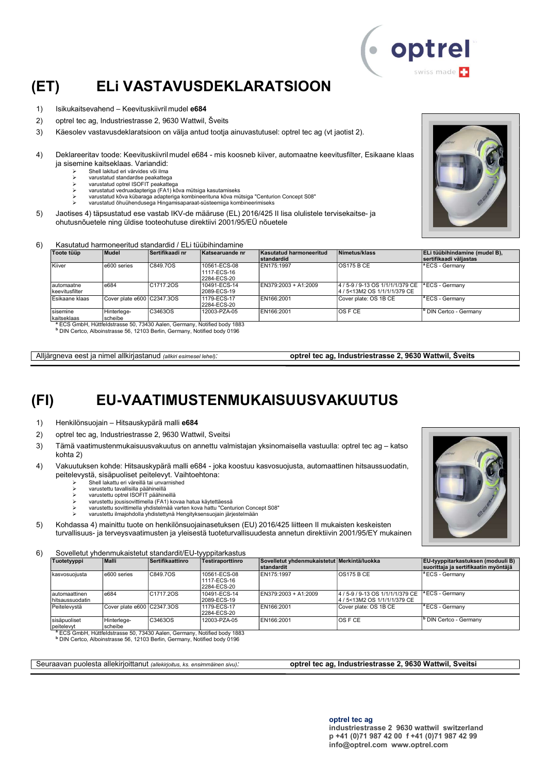

## (ET) ELi VASTAVUSDEKLARATSIOON

- 1) Isikukaitsevahend Keevituskiivril mudel e684
- 2) optrel tec ag, Industriestrasse 2, 9630 Wattwil, Šveits
- 3) Käesolev vastavusdeklaratsioon on välja antud tootja ainuvastutusel: optrel tec ag (vt jaotist 2).
- 4) Deklareeritav toode: Keevituskiivril mudel e684 mis koosneb kiiver, automaatne keevitusfilter, Esikaane klaas ja sisemine kaitseklaas. Variandid:
	- Shell lakitud eri värvides või ilma
	- varustatud standardse peakattega varustatud optrel ISOFIT peakattega
	- varustatud vedruadapteriga (FA1) kõva mütsiga kasutamiseks
	- varustatud kõva kübaraga adapteriga kombineerituna kõva mütsiga "Centurion Concept S08"
	- varustatud õhuühendusega Hingamisaparaat-süsteemiga kombineerimiseks
- 5) Jaotises 4) täpsustatud ese vastab IKV-de määruse (EL) 2016/425 II lisa olulistele tervisekaitse- ja ohutusnõuetele ning üldise tooteohutuse direktiivi 2001/95/EÜ nõuetele

#### 6) Kasutatud harmoneeritud standardid / ELi tüübihindamine

| Toote tüüp                    | Mudel                      | Sertifikaadi nr                                                                     | Katsearuande nr                            | Kasutatud harmoneeritud<br>standardid | Nimetus/klass                                                  | ELi tüübihindamine (mudel B),<br>sertifikaadi väliastas |
|-------------------------------|----------------------------|-------------------------------------------------------------------------------------|--------------------------------------------|---------------------------------------|----------------------------------------------------------------|---------------------------------------------------------|
| Kiiver                        | e600 series                | C849.7OS                                                                            | 10561-ECS-08<br>1117-ECS-16<br>2284-ECS-20 | EN175:1997                            | OS175BCE                                                       | <sup>a</sup> ECS - Germany                              |
| lautomaatne<br>keevitusfilter | e684                       | C1717.2OS                                                                           | 10491-ECS-14<br>2089-ECS-19                | EN379:2003 + A1:2009                  | 4/5-9/9-13 OS 1/1/1/1/379 CE  <br>4 / 5<13M2 OS 1/1/1/1/379 CE | <sup>a</sup> ECS - Germany                              |
| Esikaane klaas                | Cover plate e600 C2347.3OS |                                                                                     | 1179-ECS-17<br>2284-ECS-20                 | EN166:2001                            | Cover plate: OS 1B CE                                          | <sup>a</sup> ECS - Germanv                              |
| sisemine<br>kaitseklaas       | Hinterlege-<br>scheibe     | C3463OS                                                                             | 12003-PZA-05                               | EN166:2001                            | <b>OS F CE</b>                                                 | <sup>b</sup> DIN Certco - Germany                       |
|                               |                            | <sup>a</sup> ECS GmbH, Hüttfeldstrasse 50, 73430 Aalen, Germany, Notified body 1883 |                                            |                                       |                                                                |                                                         |

b DIN Certco, Alboinstrasse 56, 12103 Berlin, Germany, Notified body 0196

Alljärgneva eest ja nimel allkirjastanud (allkiri esimesel lehel): optrel tec ag, Industriestrasse 2, 9630 Wattwil, Šveits

### (FI) EU-VAATIMUSTENMUKAISUUSVAKUUTUS

1) Henkilönsuojain – Hitsauskypärä malli e684

- 2) optrel tec ag, Industriestrasse 2, 9630 Wattwil, Sveitsi
- 3) Tämä vaatimustenmukaisuusvakuutus on annettu valmistajan yksinomaisella vastuulla: optrel tec ag katso kohta 2)
- 4) Vakuutuksen kohde: Hitsauskypärä malli e684 joka koostuu kasvosuojusta, automaattinen hitsaussuodatin, peitelevystä, sisäpuoliset peitelevyt. Vaihtoehtona:
	- Shell lakattu eri väreillä tai unvarnished
	- varustettu tavallisilla päähineillä
	- varustettu optrel ISOFIT päähineillä varustettu jousisovittimella (FA1) kovaa hatua käytettäessä
	- varustettu sovittimella yhdistelmää varten kova hattu "Centurion Concept S08"
	- varustettu ilmajohdolla yhdistettynä Hengityksensuojain järjestelmään
- 5) Kohdassa 4) mainittu tuote on henkilönsuojainasetuksen (EU) 2016/425 liitteen II mukaisten keskeisten turvallisuus- ja terveysvaatimusten ja yleisestä tuoteturvallisuudesta annetun direktiivin 2001/95/EY mukainen

6) Sovelletut yhdenmukaistetut standardit/EU-tyyppitarkastus

| --------                          |                            |                  | $\ddotsc$                                  |                                                           |                                                                  |                                                                                  |
|-----------------------------------|----------------------------|------------------|--------------------------------------------|-----------------------------------------------------------|------------------------------------------------------------------|----------------------------------------------------------------------------------|
| Tuotetyyppi                       | <b>Malli</b>               | Sertifikaattinro | Testiraporttinro                           | Sovelletut yhdenmukaistetut Merkintä/luokka<br>standardit |                                                                  | <b>EU-tyyppitarkastuksen (moduuli B)</b><br>suorittaja ja sertifikaatin myöntäjä |
| kasvosuoiusta                     | e600 series                | C849.7OS         | 10561-ECS-08<br>1117-ECS-16<br>2284-ECS-20 | EN175:1997                                                | OS175BCE                                                         | $ $ <sup>a</sup> ECS - Germany                                                   |
| Iautomaattinen<br>hitsaussuodatin | e684                       | C1717.2OS        | 10491-ECS-14<br>2089-ECS-19                | EN379:2003 + A1:2009                                      | 4 / 5-9 / 9-13 OS 1/1/1/1/379 CE<br>4 / 5<13M2 OS 1/1/1/1/379 CE | <sup>a</sup> ECS - Germany                                                       |
| Peitelevystä                      | Cover plate e600 C2347.3OS |                  | 1179-ECS-17<br>2284-ECS-20                 | EN166:2001                                                | Cover plate: OS 1B CE                                            | <sup>a</sup> ECS - Germany                                                       |
| sisäpuoliset<br>peitelevyt        | Hinterlege-<br>scheibe     | C3463OS          | 12003-PZA-05                               | EN166:2001                                                | IOS F CE                                                         | I <sup>b</sup> DIN Certco - Germanv                                              |

peitelevyt<br><sup>\*</sup> ECS GmbH, Hüttfeldstrasse 50, 73430 Aalen, Germany, Notified body 1883<br>NDIN Certco, Alboinstrasse 56, 12103 Berlin, Germany, Notified body 0196

Seuraavan puolesta allekirjoittanut (allekirjoitus, ks. ensimmäinen sivu): optrel tec ag, Industriestrasse 2, 9630 Wattwil, Sveitsi

info@optrel.com www.optrel.com



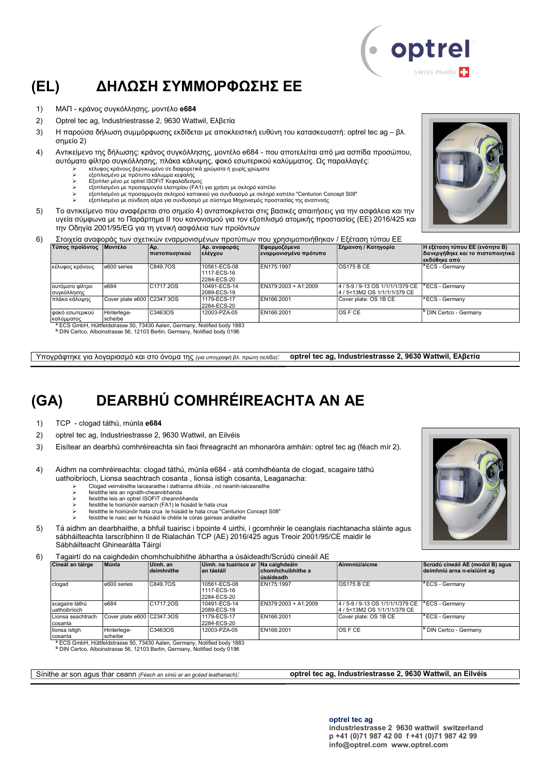## (EL) ΔΗΛΩΣΗ ΣΥΜΜΟΡΦΩΣΗΣ ΕΕ

- 1) ΜΑΠ κράνος συγκόλλησης, μοντέλο e684
- 2) Optrel tec ag, Industriestrasse 2, 9630 Wattwil, Ελβετία
- 3) Η παρούσα δήλωση συμμόρφωσης εκδίδεται με αποκλειστική ευθύνη του κατασκευαστή: optrel tec ag βλ. σημείο 2)
- 4) Αντικείμενο της δήλωσης: κράνος συγκόλλησης, μοντέλο e684 που αποτελείται από μια ασπίδα προσώπου, αυτόματο φίλτρο συγκόλλησης, πλάκα κάλυψης, φακό εσωτερικού καλύμματος. Ως παραλλαγές:
	-
	- ≻ κέλυφος κράνους βερνικωμένο σε διαφορετικά χρώματα ή χωρίς χρώματα<br>≻ εξοπλισμένο με πρότυπο κάλυμμα κεφαλής<br>γ Εξοπλισ μένο με optrel ISOFIT Κεφαλόδεσμος
	- εξοπλισμένο με προσαρμογέα ελατηρίου (FA1) για χρήση με σκληρό καπέλο
	- εξοπλισμένο με προσαρμογέα σκληρού καπακιού για συνδυασμό με σκληρό καπέλο "Centurion Concept S08"
	- εξοπλισμένο με σύνδεση αέρα για συνδυασμό με σύστημα Μηχανισμός προστασίας της αναπνοής
- 5) Το αντικείμενο που αναφέρεται στο σημείο 4) ανταποκρίνεται στις βασικές απαιτήσεις για την ασφάλεια και την υγεία σύμφωνα με το Παράρτημα II του κανονισμού για τον εξοπλισμό ατομικής προστασίας (ΕΕ) 2016/425 και την Οδηγία 2001/95/EG για τη γενική ασφάλεια των προϊόντων



| .                                       |                             | πιστοποιητικού | ελέγχου                                    | - <del>,</del> - , - , - , -<br> εναρμονισμένα πρότυπα |                                                                  | διενεργήθηκε και το πιστοποιητικό<br> εκδόθηκε από |
|-----------------------------------------|-----------------------------|----------------|--------------------------------------------|--------------------------------------------------------|------------------------------------------------------------------|----------------------------------------------------|
| κέλυφος κράνους                         | e600 series                 | C849.7OS       | 10561-ECS-08<br>1117-ECS-16<br>2284-ECS-20 | EN175:1997                                             | <b>OS175 B CE</b>                                                | $\vert$ <sup>a</sup> ECS - Germany                 |
| Ιαυτόματο φίλτρο<br><b>ισυγκόλλησης</b> | e684                        | C1717.2OS      | 10491-ECS-14<br>2089-ECS-19                | EN379:2003 + A1:2009                                   | 4 / 5-9 / 9-13 OS 1/1/1/1/379 CE<br>4 / 5<13M2 OS 1/1/1/1/379 CE | <sup>1</sup> ECS - Germany                         |
| πλάκα κάλυψης                           | Cover plate e600 CC2347.3OS |                | 1179-ECS-17<br>2284-ECS-20                 | EN166:2001                                             | Cover plate: OS 1B CE                                            | <sup>1ª</sup> ECS - Germany                        |
| Ι φακό εσωτερικού<br>καλύμματος         | Hinterlege-<br>scheibe      | C3463OS        | 12003-PZA-05                               | EN166:2001                                             | <b>OSFCE</b>                                                     | <sup>b</sup> DIN Certco - Germany                  |

<sup>a</sup> ECS GmbH, Hüttfeldstrasse 50, 73430 Aalen, Germany, Notified body 1883<br><sup>b</sup> DIN Certco, Alboinstrasse 56, 12103 Berlin, Germany, Notified body 0196

Υπογράφτηκε για λογαριασμό και στο όνομα της (για υπογραφή βλ. πρώτη σελίδα): optrel tec ag, Industriestrasse 2, 9630 Wattwil, Ελβετία

## (GA) DEARBHÚ COMHRÉIREACHTA AN AE

1) TCP - clogad táthú, múnla e684

- 2) optrel tec ag, Industriestrasse 2, 9630 Wattwil, an Eilvéis
- 3) Eisítear an dearbhú comhréireachta sin faoi fhreagracht an mhonaróra amháin: optrel tec ag (féach mír 2).
- 4) Aidhm na comhréireachta: clogad táthú, múnla e684 atá comhdhéanta de clogad, scagaire táthú uathoibríoch, Lionsa seachtrach cosanta , lionsa istigh cosanta, Leaganacha:
	- Clogad veirnéisithe laicearaithe i dathanna difriúla , nó neamh-laicearaithe feistithe leis an ngnáth-cheannbhanda
	-
	- **EXECUTE:** feistithe leis an optrel ISOFIT cheannbhanda feistithe le hoiriúnóir earrach (FA1) le húsáid le hata crua
		- feistithe le hoiriúnóir hata crua le húsáid le hata crua "Centurion Concept S08"
	- feistithe le nasc aer le húsáid le chéile le córas gaireas análaithe
- 5) Tá aidhm an dearbhaithe, a bhfuil tuairisc i bpointe 4 uirthi, i gcomhréir le ceanglais riachtanacha sláinte agus sábháilteachta Iarscríbhinn II de Rialachán TCP (AE) 2016/425 agus Treoir 2001/95/CE maidir le Sábháilteacht Ghinearálta Táirgí

6) Tagairtí do na caighdeáin chomhchuibhithe ábhartha a úsáideadh/Scrúdú cineáil AE

|                                 | l auailtí uo ha caiúndeain chomhchuibhithe abhaitha a usaideauh/Scruud chleall AL |                        |                                                   |                                 |                                                                  |                                                                 |  |  |  |
|---------------------------------|-----------------------------------------------------------------------------------|------------------------|---------------------------------------------------|---------------------------------|------------------------------------------------------------------|-----------------------------------------------------------------|--|--|--|
| Cineál an táirge                | Múnla                                                                             | Uimh. an<br>deimhnithe | Uimh, na tuairisce ar Na caighdeáin<br>an tástáil | ∣chomhchuibhithe a<br>úsáideadh | Ainmniú/aicme                                                    | Scrúdú cineáil AE (modúl B) agus<br>deimhniú arna n-eisiúint ag |  |  |  |
| clogad                          | e600 series                                                                       | C849.7OS               | 10561-ECS-08<br>1117-ECS-16<br>2284-ECS-20        | EN175:1997                      | IOS175 B CE                                                      | <sup>a</sup> ECS - Germany                                      |  |  |  |
| scagaire táthú<br>Iuathoibríoch | e684                                                                              | C1717.2OS              | 10491-ECS-14<br>2089-ECS-19                       | EN379:2003 + A1:2009            | 4 / 5-9 / 9-13 OS 1/1/1/1/379 CE<br>4 / 5<13M2 OS 1/1/1/1/379 CE | lª ECS - Germanv                                                |  |  |  |
| ILionsa seachtrach<br>Icosanta  | Cover plate e600 C2347.3OS                                                        |                        | 1179-ECS-17<br>2284-ECS-20                        | EN166:2001                      | Cover plate: OS 1B CE                                            | <sup>a</sup> ECS - Germany                                      |  |  |  |
| lionsa istigh<br>cosanta        | Hinterlege-<br>scheibe                                                            | C3463OS                | 12003-PZA-05                                      | EN166:2001                      | IOS F CE                                                         | <sup>b</sup> DIN Certco - Germany                               |  |  |  |

cosanta<br>● ECS GmbH, Hüttfeldstrasse 50, 73430 Aalen, Germany, Notified body 1883<br>● DIN Certco, Alboinstrasse 56, 12103 Berlin, Germany, Notified body 0196

Sínithe ar son agus thar ceann (Féach an síniú ar an gcéad leathanach): **optrel tec ag, Industriestrasse 2, 9630 Wattwil, an Eilvéis** 

optrel tec ag industriestrasse 2 9630 wattwil switzerland p +41 (0)71 987 42 00 f +41 (0)71 987 42 99 info@optrel.com www.optrel.com





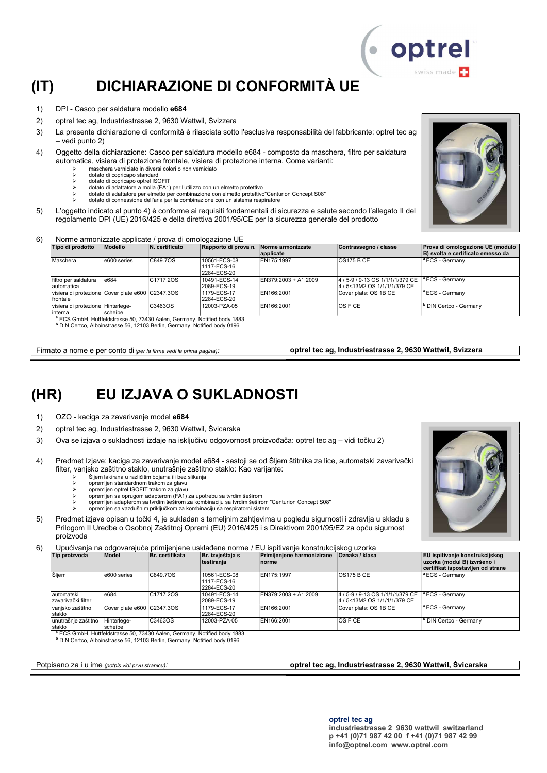## (IT) DICHIARAZIONE DI CONFORMITÀ UE

- 1) DPI Casco per saldatura modello e684
- 2) optrel tec ag, Industriestrasse 2, 9630 Wattwil, Svizzera
- 3) La presente dichiarazione di conformità è rilasciata sotto l'esclusiva responsabilità del fabbricante: optrel tec ag – vedi punto 2)
- 4) Oggetto della dichiarazione: Casco per saldatura modello e684 composto da maschera, filtro per saldatura automatica, visiera di protezione frontale, visiera di protezione interna. Come varianti:
	- maschera verniciato in diversi colori o non verniciato
	- dotato di copricapo standard
	- → dotato di copricapo optrel ISOFIT<br>
	→ dotato di adattatore a molla (EA1) dotato di adattatore a molla (FA1) per l'utilizzo con un elmetto protettivo
	- dotato di adattatore per elmetto per combinazione con elmetto protettivo"Centurion Concept S08"
	- dotato di connessione dell'aria per la combinazione con un sistema respiratore
- 5) L'oggetto indicato al punto 4) è conforme ai requisiti fondamentali di sicurezza e salute secondo l'allegato II del regolamento DPI (UE) 2016/425 e della direttiva 2001/95/CE per la sicurezza generale del prodotto

#### 6) Norme armonizzate applicate / prova di omologazione UE

| Tipo di prodotto                                              | <b>Modello</b> | N. certificato        | Rapporto di prova n. Norme armonizzate     | applicate            | Contrassegno / classe                                             | Prova di omologazione UE (modulo<br>B) svolta e certificato emesso da |
|---------------------------------------------------------------|----------------|-----------------------|--------------------------------------------|----------------------|-------------------------------------------------------------------|-----------------------------------------------------------------------|
| Maschera                                                      | e600 series    | C849.7OS              | 10561-ECS-08<br>1117-ECS-16<br>2284-ECS-20 | EN175:1997           | $\overline{OS175B}$ CE                                            | <sup>a</sup> ECS - Germany                                            |
| Ifiltro per saldatura<br>Iautomatica                          | e684           | C <sub>1717</sub> 20S | 10491-ECS-14<br>2089-ECS-19                | EN379:2003 + A1:2009 | 4 / 5-9 / 9-13 OS 1/1/1/1/379 CE<br>14 / 5<13M2 OS 1/1/1/1/379 CE | $\vert$ <sup>a</sup> ECS - Germany                                    |
| Visiera di protezione Cover plate e600 C2347.3OS<br>Ifrontale |                |                       | 1179-ECS-17<br>2284-ECS-20                 | EN166:2001           | Cover plate: OS 1B CE                                             | <sup>a</sup> ECS - Germany                                            |
| Ivisiera di protezione lHinterlege-<br>Iinterna               | scheibe        | C3463OS               | 12003-PZA-05                               | EN166:2001           | IOS F CE                                                          | <sup>I</sup> <sup>b</sup> DIN Certco - Germanv                        |

S GmbH, Hüttfeldstrasse 50, 73430 Aalen, Germany, Notified body 1883

b DIN Certco, Alboinstrasse 56, 12103 Berlin, Germany, Notified body 0196

Firmato a nome e per conto di (per la firma vedi la prima pagina): **optrel tec ag, Industriestrasse 2, 9630 Wattwil, Svizzera** 

### (HR) EU IZJAVA O SUKLADNOSTI

- 1) OZO kaciga za zavarivanje model e684
- 2) optrel tec ag, Industriestrasse 2, 9630 Wattwil, Švicarska
- 3) Ova se izjava o sukladnosti izdaje na isključivu odgovornost proizvođača: optrel tec ag vidi točku 2)
- 4) Predmet Izjave: kaciga za zavarivanje model e684 sastoji se od Šljem štitnika za lice, automatski zavarivački filter, vanjsko zaštitno staklo, unutrašnje zaštitno staklo: Kao varijante:
	- $\geq$  Šljem lakirana u različitim bojama ili bez slikanja
	- opremljen standardnom trakom za glavu
	- opremljen optrel ISOFIT trakom za glavu opremljen sa oprugom adapterom (FA1) za upotrebu sa tvrdim šeširom
	- opremljen adapterom sa tvrdim šeširom za kombinaciju sa tvrdim šeširom "Centurion Concept S08"
	- opremljen sa vazdušnim priključkom za kombinaciju sa respiratorni sistem
- 5) Predmet izjave opisan u točki 4, je sukladan s temeljnim zahtjevima u pogledu sigurnosti i zdravlja u skladu s Prilogom II Uredbe o Osobnoj Zaštitnoj Opremi (EU) 2016/425 i s Direktivom 2001/95/EZ za opću sigurnost proizvoda

6) Upućivanja na odgovarajuće primijenjene usklađene norme / EU ispitivanje konstrukcijskog uzorka

| Tip proizvoda                      | Model                      | Br. certifikata | Br. izvještaja s<br>testiranja             | Primijenjene harmonizirane<br>Inorme | <b>Oznaka / klasa</b>                                            | <b>EU</b> ispitivanje konstrukcijskog<br>uzorka (modul B) izvršeno i<br>certifikat ispostavljen od strane |
|------------------------------------|----------------------------|-----------------|--------------------------------------------|--------------------------------------|------------------------------------------------------------------|-----------------------------------------------------------------------------------------------------------|
| Šljem                              | e600 series                | C849.7OS        | 10561-ECS-08<br>1117-ECS-16<br>2284-ECS-20 | EN175:1997                           | <b>OS175 B CE</b>                                                | <sup>a</sup> ECS - Germany                                                                                |
| lautomatski<br>Izavarivački filter | e684                       | C1717.20S       | 10491-ECS-14<br>2089-ECS-19                | EN379:2003 + A1:2009                 | 4 / 5-9 / 9-13 OS 1/1/1/1/379 CE<br>4 / 5<13M2 OS 1/1/1/1/379 CE | <sup>a</sup> ECS - Germany                                                                                |
| vanjsko zaštitno<br>staklo         | Cover plate e600 C2347.3OS |                 | 1179-ECS-17<br>2284-ECS-20                 | EN166:2001                           | Cover plate: OS 1B CE                                            | <sup>a</sup> ECS - Germanv                                                                                |
| unutrašnje zaštitno<br>Istaklo     | Hinterlege-<br>scheibe     | C3463OS         | 12003-PZA-05                               | EN166:2001                           | IOS F CE                                                         | <sup>b</sup> DIN Certco - Germany                                                                         |

staklo scheibe <sup>a</sup> ECS GmbH, Hüttfeldstrasse 50, 73430 Aalen, Germany, Notified body 1883 b DIN Certco, Alboinstrasse 56, 12103 Berlin, Germany, Notified body 0196





Potpisano za i u ime (potpis vidi prvu stranicu): optrel tec ag, Industriestrasse 2, 9630 Wattwil, Švicarska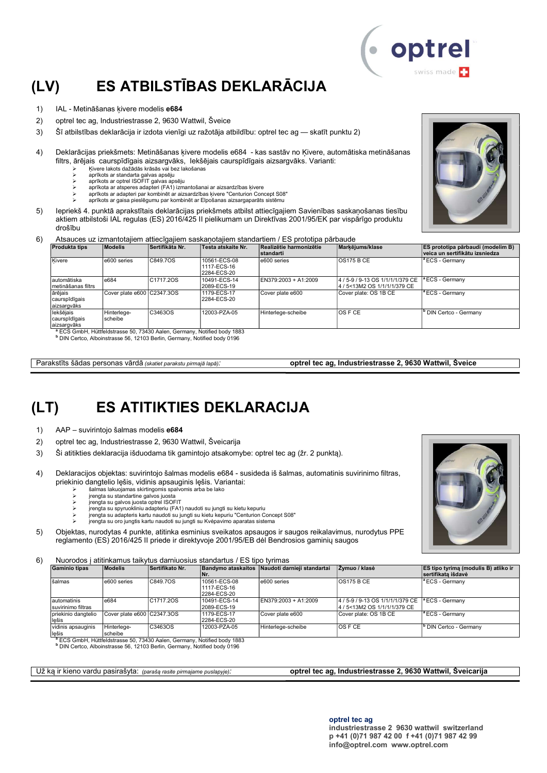## (LV) ES ATBILSTĪBAS DEKLARĀCIJA

- 1) IAL Metināšanas ķivere modelis e684
- 2) optrel tec ag, Industriestrasse 2, 9630 Wattwil, Šveice
- 3) Šī atbilstības deklarācija ir izdota vienīgi uz ražotāja atbildību: optrel tec ag skatīt punktu 2)
- 4) Deklarācijas priekšmets: Metināšanas ķivere modelis e684 kas sastāv no Ķivere, automātiska metināšanas filtrs, ārējais caurspīdīgais aizsargvāks, Iekšējais caurspīdīgais aizsargvāks. Varianti:
	- Ķivere lakots dažādās krāsās vai bez lakošanas
	- aprīkots ar standarta galvas apsēju aprīkots ar optrel ISOFIT galvas apsēju
	- aprīkota ar atsperes adapteri (FA1) izmantošanai ar aizsardzības ķivere
	- aprīkots ar adapteri par kombinēt ar aizsardzības ķivere "Centurion Concept S08"
	- aprīkots ar gaisa pieslēgumu par kombinēt ar Elpošanas aizsargaparāts sistēmu
- 5) Iepriekš 4. punktā aprakstītais deklarācijas priekšmets atbilst attiecīgajiem Savienības saskaņošanas tiesību aktiem atbilstoši IAL regulas (ES) 2016/425 II pielikumam un Direktīvas 2001/95/EK par vispārīgo produktu drošību
- 6) Atsauces uz izmantotajiem attiecīgajiem saskaņotajiem standartiem / ES prototipa pārbaude

| Modelis                | <b>Sertifikāta Nr.</b> | <b>Testa atskaite Nr.</b>                                       | Realizētie harmonizētie<br>standarti | Markējums/klase                                                   | <b>ES prototipa pārbaudi (modelim B)</b><br>veica un sertifikātu izsniedza |
|------------------------|------------------------|-----------------------------------------------------------------|--------------------------------------|-------------------------------------------------------------------|----------------------------------------------------------------------------|
| e600 series            |                        | 10561-ECS-08<br>1117-ECS-16<br>2284-ECS-20                      | e600 series                          | <b>OS175 B CE</b>                                                 | <sup>a</sup> ECS - Germany                                                 |
| e684                   |                        | 10491-ECS-14<br>2089-ECS-19                                     | EN379:2003 + A1:2009                 | 4 / 5-9 / 9-13 OS 1/1/1/1/379 CE<br>14 / 5<13M2 OS 1/1/1/1/379 CE | <sup>a</sup> ECS - Germany                                                 |
|                        |                        | 1179-ECS-17<br>2284-ECS-20                                      | Cover plate e600                     | Cover plate: OS 1B CE                                             | <sup>a</sup> ECS - Germany                                                 |
| Hinterlege-<br>scheibe | C3463OS                | 12003-PZA-05                                                    | Hinterleae-scheibe                   | IOS F CE                                                          | <sup>b</sup> DIN Certco - Germany                                          |
|                        |                        | C849.7OS<br>C <sub>1717</sub> 20S<br>Cover plate e600 C2347.3OS |                                      |                                                                   |                                                                            |

<sup>a</sup> ECS GmbH, Hüttfeldstrasse 50, 73430 Aalen, Germany, Notified body 1883<br><sup>b</sup> DIN Certco, Alboinstrasse 56, 12103 Berlin, Germany, Notified body 0196

Parakstīts šādas personas vārdā (skatiet parakstu pirmajā lapā): **optrel tec ag, Industriestrasse 2, 9630 Wattwil, Šveice** 

### (LT) ES ATITIKTIES DEKLARACIJA

- 1) AAP suvirintojo šalmas modelis e684
- 2) optrel tec ag, Industriestrasse 2, 9630 Wattwil, Šveicarija
- 3) Ši atitikties deklaracija išduodama tik gamintojo atsakomybe: optrel tec ag (žr. 2 punktą).
- 4) Deklaracijos objektas: suvirintojo šalmas modelis e684 susideda iš šalmas, automatinis suvirinimo filtras, priekinio dangtelio lęšis, vidinis apsauginis lęšis. Variantai:
	- šalmas lakuojamas skirtingomis spalvomis arba be lako
	- įrengta su standartine galvos juosta įrengta su galvos juosta optrel ISOFIT
	-
	- įrengta su spyruokliniu adapteriu (FA1) naudoti su jungti su kietu kepuriu įrengta su adapteris kartu naudoti su jungti su kietu kepuriu "Centurion Concept S08" įrengta su oro jungtis kartu naudoti su jungti su Kvėpavimo aparatas sistema
	-
- 5) Objektas, nurodytas 4 punkte, atitinka esminius sveikatos apsaugos ir saugos reikalavimus, nurodytus PPE reglamento (ES) 2016/425 II priede ir direktyvoje 2001/95/EB dėl Bendrosios gaminių saugos

6) Nuorodos į atitinkamus taikytus darniuosius standartus / ES tipo tyrimas

| .                                  |                            |                 |                                            |                                                |                                                                  |                                                                          |  |  |
|------------------------------------|----------------------------|-----------------|--------------------------------------------|------------------------------------------------|------------------------------------------------------------------|--------------------------------------------------------------------------|--|--|
| <b>Gaminio tipas</b>               | <b>Modelis</b>             | Sertifikato Nr. | ۱Nr.                                       | Bandymo ataskaitos Naudoti darnieii standartai | Zvmuo / klasė                                                    | <b>ES tipo tyrima (modulis B) atliko ir</b><br><b>Sertifikata išdavė</b> |  |  |
| šalmas                             | e600 series                | C849.7OS        | 10561-ECS-08<br>1117-ECS-16<br>2284-ECS-20 | e600 series                                    | <b>OS175 B CE</b>                                                | <sup>a</sup> ECS - Germany                                               |  |  |
| lautomatinis<br>suvirinimo filtras | e684                       | C1717.2OS       | 10491-ECS-14<br>2089-ECS-19                | EN379:2003 + A1:2009                           | 4 / 5-9 / 9-13 OS 1/1/1/1/379 CE<br>4 / 5<13M2 OS 1/1/1/1/379 CE | <sup>a</sup> ECS - Germany                                               |  |  |
| priekinio dangtelio<br>lešis       | Cover plate e600 C2347.3OS |                 | 1179-ECS-17<br>2284-ECS-20                 | Cover plate e600                               | Cover plate: OS 1B CE                                            | <sup>a</sup> ECS - Germany                                               |  |  |
| vidinis apsauginis<br>lešis        | Hinterleae-<br>scheibe     | C3463OS         | 12003-PZA-05                               | Hinterlege-scheibe                             | <b>OSFCE</b>                                                     | ' DIN Certco - Germany                                                   |  |  |

<sup>a</sup> ECS GmbH, Hüttfeldstrasse 50, 73430 Aalen, Germany, Notified body 1883

b DIN Certco, Alboinstrasse 56, 12103 Berlin, Germany, Notified body 0196

Už ką ir kieno vardu pasirašyta: (parašą rasite pirmajame puslapyje): **optrel tec ag, Industriestrasse 2, 9630 Wattwil, Šveicarija** 





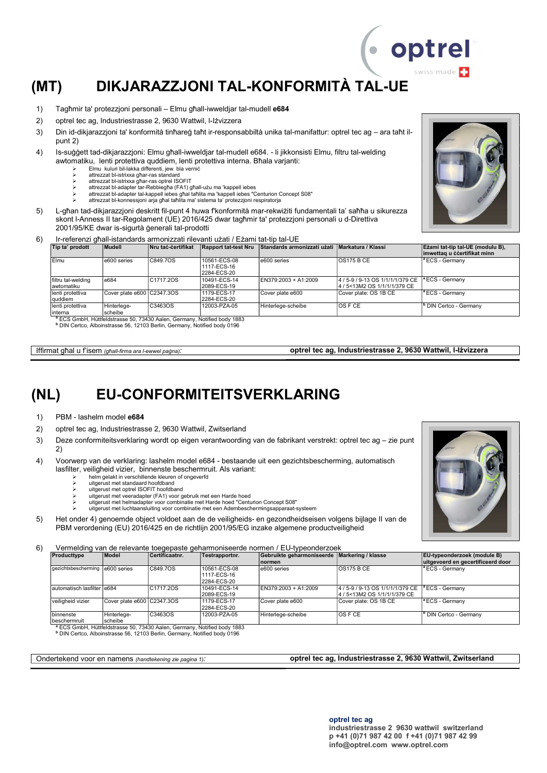## (MT) DIKJARAZZJONI TAL-KONFORMITÀ TAL-UE

- 1) Tagħmir ta' protezzjoni personali Elmu għall-iwweldjar tal-mudell e684
- 2) optrel tec ag, Industriestrasse 2, 9630 Wattwil, l-Iżvizzera
- 3) Din id-dikjarazzjoni ta' konformità tinħareġ taħt ir-responsabbiltà unika tal-manifattur: optrel tec ag ara taħt ilpunt 2)
- 4) Is-suġġett tad-dikjarazzjoni: Elmu għall-iwweldjar tal-mudell e684. li jikkonsisti Elmu, filtru tal-welding awtomatiku, lenti protettiva quddiem, lenti protettiva interna. Bħala varjanti:
	- Elmu kuluri bil-lakka differenti, jew bla verniċ attrezzat bl-istrixxa għar-ras standard
	- attrezzat bl-istrixxa għar-ras optrel ISOFIT
	- attrezzat bl-adapter tar-Rebbiegħa (FA1) għall-użu ma 'kappell iebes
	- attrezzat bl-adapter tal-kappell iebes għal taħlita ma 'kappell iebes "Centurion Concept S08" attrezzat bl-konnessjoni arja għal taħlita ma' sistema ta' protezzjoni respiratorja
	-
- 5) L-għan tad-dikjarazzjoni deskritt fil-punt 4 huwa f'konformità mar-rekwiżiti fundamentali ta' saħħa u sikurezza skont l-Anness II tar-Regolament (UE) 2016/425 dwar tagħmir ta' protezzjoni personali u d-Direttiva 2001/95/KE dwar is-sigurtà ġenerali tal-prodotti
- 6) Ir-referenzi għall-istandards armonizzati rilevanti użati / Eżami tat-tip tal-UE

| Mudell                  | <b>Nru taċ-ċertifikat</b> | Rapport tat-test Nru                       |                      |                               | Ezami tat-tip tal-UE (modulu B).<br>limwettag u ċċertifikat minn                                                                                                            |
|-------------------------|---------------------------|--------------------------------------------|----------------------|-------------------------------|-----------------------------------------------------------------------------------------------------------------------------------------------------------------------------|
| e600 series             | C849.7OS                  | 10561-ECS-08<br>1117-ECS-16<br>2284-ECS-20 | le600 series         | IOS175 B CE                   | <sup>a</sup> ECS - Germany                                                                                                                                                  |
| e684                    | C1717.2OS                 | 10491-ECS-14<br>2089-ECS-19                | EN379:2003 + A1:2009 | l4 / 5<13M2 OS 1/1/1/1/379 CE | <sup>a</sup> ECS - Germany                                                                                                                                                  |
|                         |                           | 1179-ECS-17<br>2284-ECS-20                 | Cover plate e600     | Cover plate: OS 1B CE         | <sup>a</sup> ECS - Germany                                                                                                                                                  |
| Hinterlege-<br>Ischeibe | C3463OS                   | 12003-PZA-05                               | Hinterleae-scheibe   | IOS F CE                      | <sup>b</sup> DIN Certco - Germany                                                                                                                                           |
|                         |                           | Cover plate e600 C2347.3OS                 |                      |                               | Standards armonizzati użati<br>Markatura / Klassi<br>4 / 5-9 / 9-13 OS 1/1/1/1/379 CE<br><sup>8</sup> ECC CmbH, Hüttfeldetrasse EQ 79420 Aelen, Cormany, Netified body 1992 |

<sup>a</sup> ECS GmbH, Hüttfeldstrasse 50, 73430 Aalen, Germany, Notified body 1883<br><sup>b</sup> DIN Certco, Alboinstrasse 56, 12103 Berlin, Germany, Notified body 0196

Iffirmat għal u f'isem (għall-firma ara l-ewwel paġna): **optrel tec ag, Industriestrasse 2, 9630 Wattwil, l-Iżvizzera** 

### (NL) EU-CONFORMITEITSVERKLARING

1) PBM - lashelm model e684

- 2) optrel tec ag, Industriestrasse 2, 9630 Wattwil, Zwitserland
- 3) Deze conformiteitsverklaring wordt op eigen verantwoording van de fabrikant verstrekt: optrel tec ag zie punt 2)
- 4) Voorwerp van de verklaring: lashelm model e684 bestaande uit een gezichtsbescherming, automatisch lasfilter, veiligheid vizier, binnenste beschermruit. Als variant:
	- helm gelakt in verschillende kleuren of ongeverfd uitgerust met standaard hoofdband
	- uitgerust met optrel ISOFIT hoofdband
	- uitgerust met veeradapter (FA1) voor gebruik met een Harde hoed
	- uitgerust met helmadapter voor combinatie met Harde hoed "Centurion Concept S08"
	- uitgerust met luchtaansluiting voor combinatie met een Adembeschermingsapparaat-systeem
- 5) Het onder 4) genoemde object voldoet aan de de veiligheids- en gezondheidseisen volgens bijlage II van de PBM verordening (EU) 2016/425 en de richtlijn 2001/95/EG inzake algemene productveiligheid

6) Vermelding van de relevante toegepaste geharmoniseerde normen / EU-typeonderzoek

| Producttype                        | <b>Model</b>               | Certificaatnr.         | Testrapportnr.                                                                                                                                                              | Gebruikte geharmoniseerde   Markering / klasse<br><b>normen</b> |                                                                   | <b>EU-typeonderzoek (module B)</b><br>uitgevoerd en gecertificeerd door |
|------------------------------------|----------------------------|------------------------|-----------------------------------------------------------------------------------------------------------------------------------------------------------------------------|-----------------------------------------------------------------|-------------------------------------------------------------------|-------------------------------------------------------------------------|
| gezichtsbescherming   e600 series  |                            | C849.7OS               | 10561-ECS-08<br>1117-ECS-16<br>2284-ECS-20                                                                                                                                  | e600 series                                                     | IOS175 B CE                                                       | lª ECS - Germanv                                                        |
| lautomatisch lasfilter le684       |                            | C <sub>1717</sub> .20S | 10491-ECS-14<br>2089-ECS-19                                                                                                                                                 | EN379:2003 + A1:2009                                            | 4 / 5-9 / 9-13 OS 1/1/1/1/379 CE<br>l4 / 5<13M2 OS 1/1/1/1/379 CE | <sup>a</sup> ECS - Germany                                              |
| veiligheid vizier                  | Cover plate e600 C2347.3OS |                        | 1179-ECS-17<br>2284-ECS-20                                                                                                                                                  | Cover plate e600                                                | Cover plate: OS 1B CE                                             | <sup>a</sup> ECS - Germanv                                              |
| Ibinnenste<br><b>Ibeschermruit</b> | Hinterlege-<br>scheibe     | C3463OS                | 12003-PZA-05                                                                                                                                                                | Hinterlege-scheibe                                              | IOS F CE                                                          | <sup>9</sup> DIN Certco - Germany                                       |
|                                    |                            |                        | <sup>a</sup> ECS GmbH, Hüttfeldstrasse 50, 73430 Aalen, Germany, Notified body 1883<br><sup>b</sup> DIN Certco, Alboinstrasse 56, 12103 Berlin, Germany, Notified body 0196 |                                                                 |                                                                   |                                                                         |

Ondertekend voor en namens (handtekening zie pagina 1): **optrel tec ag, Industriestrasse 2, 9630 Wattwil, Zwitserland** 



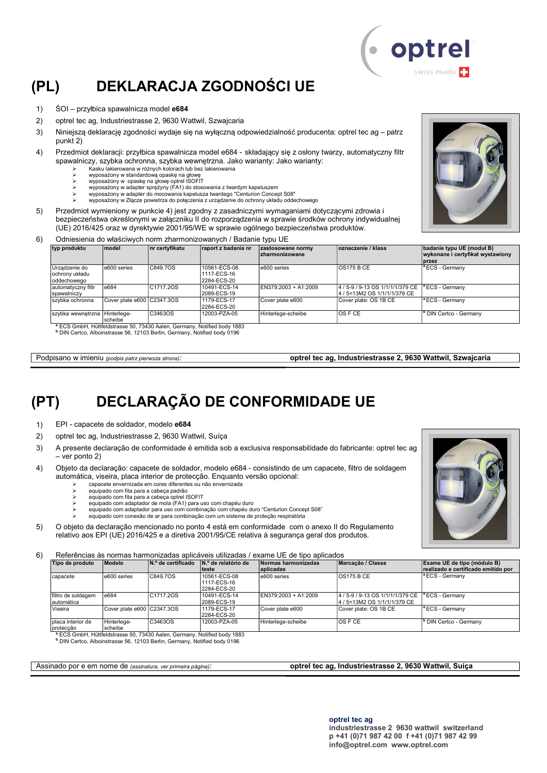## (PL) DEKLARACJA ZGODNOŚCI UE

- 1) ŚOI przyłbica spawalnicza model e684
- 2) optrel tec ag, Industriestrasse 2, 9630 Wattwil, Szwajcaria
- 3) Niniejszą deklarację zgodności wydaje się na wyłączną odpowiedzialność producenta: optrel tec ag patrz punkt 2)
- 4) Przedmiot deklaracji: przyłbica spawalnicza model e684 składający się z osłony twarzy, automatyczny filtr spawalniczy, szybka ochronna, szybka wewnętrzna. Jako warianty: Jako warianty:
	- Kasku lakierowana w różnych kolorach lub bez lakierowania
	-
	- wyposażony w standardową opaskę na głowę wyposażony w opaskę na głowę optrel ISOFIT wyposażony w adapter sprężyny (FA1) do stosowania z twardym kapeluszem
	-
	- wyposażony w adapter do mocowania kapelusza twardego "Centurion Concept S08" wyposażony w Złącze powietrza do połączenia z urządzenie do ochrony układu oddechowego
- 5) Przedmiot wymieniony w punkcie 4) jest zgodny z zasadniczymi wymaganiami dotyczącymi zdrowia i bezpieczeństwa określonymi w załączniku II do rozporządzenia w sprawie środków ochrony indywidualnej (UE) 2016/425 oraz w dyrektywie 2001/95/WE w sprawie ogólnego bezpieczeństwa produktów.
- 6) Odniesienia do właściwych norm zharmonizowanych / Badanie typu UE

| typ produktu                                   | model                      | nr certyfikatu                                                                                                                                                              | raport z badania nr                        | zastosowane normy<br><b>zharmonizowane</b> | oznaczenie / klasa                                                | badanie typu UE (moduł B)<br>wykonane i certyfikat wystawiony<br><b>przez</b> |
|------------------------------------------------|----------------------------|-----------------------------------------------------------------------------------------------------------------------------------------------------------------------------|--------------------------------------------|--------------------------------------------|-------------------------------------------------------------------|-------------------------------------------------------------------------------|
| Urzadzenie do<br>ochrony układu<br>oddechowego | e600 series                | C849.7OS                                                                                                                                                                    | 10561-ECS-08<br>1117-ECS-16<br>2284-ECS-20 | e600 series                                | <b>OS175 B CE</b>                                                 | <sup>a</sup> ECS - Germany                                                    |
| automatyczny filtr<br>spawalniczy              | e684                       | C <sub>1717</sub> .20S                                                                                                                                                      | 10491-ECS-14<br>2089-ECS-19                | EN379:2003 + A1:2009                       | 4 / 5-9 / 9-13 OS 1/1/1/1/379 CE<br>l4 / 5<13M2 OS 1/1/1/1/379 CE | <sup>a</sup> ECS - Germany                                                    |
| szybka ochronna                                | Cover plate e600 C2347.3OS |                                                                                                                                                                             | 1179-ECS-17<br>2284-ECS-20                 | Cover plate e600                           | Cover plate: OS 1B CE                                             | <sup>a</sup> ECS - Germany                                                    |
| szybka wewnętrzna Hinterlege-                  | Ischeibe                   | C3463OS                                                                                                                                                                     | 12003-PZA-05                               | Hinterlege-scheibe                         | <b>OSFCE</b>                                                      | <sup>b</sup> DIN Certco - Germany                                             |
|                                                |                            | <sup>a</sup> ECS GmbH, Hüttfeldstrasse 50, 73430 Aalen, Germany, Notified body 1883<br><sup>b</sup> DIN Certco, Alboinstrasse 56, 12103 Berlin, Germany, Notified body 0196 |                                            |                                            |                                                                   |                                                                               |

Podpisano w imieniu (podpis patrz pierwsza strona): optrel tec ag, Industriestrasse 2, 9630 Wattwil, Szwajcaria

## (PT) DECLARAÇÃO DE CONFORMIDADE UE

1) EPI - capacete de soldador, modelo e684

- 2) optrel tec ag, Industriestrasse 2, 9630 Wattwil, Suíça
- 3) A presente declaração de conformidade é emitida sob a exclusiva responsabilidade do fabricante: optrel tec ag – ver ponto 2)
- 4) Objeto da declaração: capacete de soldador, modelo e684 consistindo de um capacete, filtro de soldagem automática, viseira, placa interior de protecção. Enquanto versão opcional:
	- capacete envernizada em cores diferentes ou não envernizada
	- equipado com fita para a cabeça padrão equipado com fita para a cabeça optrel ISOFIT
	- equipado com adaptador de mola (FA1) para uso com chapéu duro
	- equipado com adaptador para uso com combinação com chapéu duro "Centurion Concept S08"
	- equipado com conexão de ar para combinação com um sistema de proteção respiratória
- 5) O objeto da declaração mencionado no ponto 4 está em conformidade com o anexo II do Regulamento relativo aos EPI (UE) 2016/425 e a diretiva 2001/95/CE relativa à segurança geral dos produtos.

6) Referências às normas harmonizadas aplicáveis utilizadas / exame UE de tipo aplicados

| Tipo de produto                   | Modelo                     | N.º de certificado     | IN.º de relatório de<br>lteste              | Normas harmonizadas<br>aplicadas | Marcacão / Classe                                                | Exame UE de tipo (módulo B)<br>realizado e certificado emitido por |
|-----------------------------------|----------------------------|------------------------|---------------------------------------------|----------------------------------|------------------------------------------------------------------|--------------------------------------------------------------------|
| Icapacete                         | e600 series                | C849.7OS               | 10561-ECS-08<br>11117-ECS-16<br>2284-ECS-20 | e600 series                      | OS175BCE                                                         | <sup>a</sup> ECS - Germany                                         |
| filtro de soldagem<br>Iautomática | e684                       | C <sub>1717</sub> .20S | 10491-ECS-14<br>2089-ECS-19                 | EN379:2003 + A1:2009             | 4/5-9/9-13 OS 1/1/1/1/379 CE<br>4 / 5 < 13 M 2 OS 1/1/1/1/379 CE | <sup>a</sup> ECS - Germany                                         |
| Viseira                           | Cover plate e600 C2347.3OS |                        | 1179-ECS-17<br>2284-ECS-20                  | Cover plate e600                 | Cover plate: OS 1B CE                                            | <sup>a</sup> ECS - Germany                                         |
| placa interior de<br>Iproteccão   | Hinterlege-<br>scheibe     | C3463OS                | 12003-PZA-05                                | Hinterlege-scheibe               | <b>OS F CE</b>                                                   | <sup>b</sup> DIN Certco - Germany                                  |

<sup>a</sup> ECS GmbH, Hüttfeldstrasse 50, 73430 Aalen, Germany, Notified body 1883

<sup>b</sup> DIN Certco, Alboinstrasse 56, 12103 Berlin, Germany, Notified body 0196

#### Assinado por e em nome de (assinatura, ver primeira página): **optrel tec ag, Industriestrasse 2, 9630 Wattwil, Suíça**



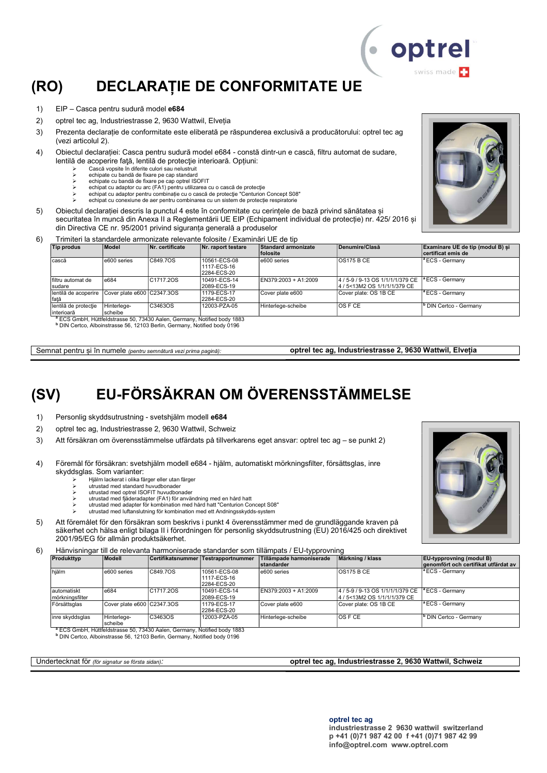## (RO) DECLARAȚIE DE CONFORMITATE UE

- 1) EIP Casca pentru sudură model e684
- 2) optrel tec ag, Industriestrasse 2, 9630 Wattwil, Elveția
- 3) Prezenta declarație de conformitate este eliberată pe răspunderea exclusivă a producătorului: optrel tec ag (vezi articolul 2).
- 4) Obiectul declarației: Casca pentru sudură model e684 constă dintr-un e cască, filtru automat de sudare, lentilă de acoperire faţă, lentilă de protecţie interioară. Opțiuni:
	- Cască vopsite în diferite culori sau nelustruit
	- echipate cu bandă de fixare pe cap standard echipate cu bandă de fixare pe cap optrel ISOFIT
	- echipat cu adaptor cu arc (FA1) pentru utilizarea cu o cască de protecţie
	- echipat cu adaptor pentru combinație cu o cască de protecție "Centurion Concept S08" echipat cu conexiune de aer pentru combinarea cu un sistem de protecție respiratorie
- 5) Obiectul declarației descris la punctul 4 este în conformitate cu cerințele de bază privind sănătatea și securitatea în muncă din Anexa II a Reglementării UE EIP (Echipament individual de protecție) nr. 425/ 2016 și
	- din Directiva CE nr. 95/2001 privind siguranța generală a produselor
- 6) Trimiteri la standardele armonizate relevante folosite / Examinări UE de tip<br>
Tip produs (Model (Nr. certificate (Nr. raport testare (Standard armo Nr. raport test

| Tip produs                         | Model                      | Nr. certificate                                                                     | Nr. raport testare                          | Standard armonizate<br><b>folosite</b> | Denumire/Clasă                                                 | Examinare UE de tip (modul B) si<br>certificat emis de |
|------------------------------------|----------------------------|-------------------------------------------------------------------------------------|---------------------------------------------|----------------------------------------|----------------------------------------------------------------|--------------------------------------------------------|
| cască                              | e600 series                | C849.7OS                                                                            | 10561-ECS-08<br>11117-ECS-16<br>2284-ECS-20 | e600 series                            | IOS175 B CE                                                    | <sup>a</sup> ECS - Germany                             |
| I filtru automat de<br>sudare      | e684                       | C <sub>1717</sub> .20S                                                              | 10491-ECS-14<br>2089-ECS-19                 | EN379:2003 + A1:2009                   | 4/5-9/9-13 OS 1/1/1/1/379 CE  <br>4 / 5<13M2 OS 1/1/1/1/379 CE | <sup>a</sup> ECS - Germany                             |
| Ilentilă de acoperire<br>fată      | Cover plate e600 C2347.3OS |                                                                                     | 1179-ECS-17<br>2284-ECS-20                  | Cover plate e600                       | Cover plate: OS 1B CE                                          | <sup>a</sup> ECS - Germany                             |
| lentilă de protecție<br>interioară | Hinterlege-<br>scheibe     | C3463OS                                                                             | 12003-PZA-05                                | Hinterlege-scheibe                     | <b>OSFCE</b>                                                   | <sup>b</sup> DIN Certco - Germany                      |
|                                    |                            | <sup>a</sup> ECS GmbH, Hüttfeldstrasse 50, 73430 Aalen, Germany, Notified body 1883 |                                             |                                        |                                                                |                                                        |

b DIN Certco, Alboinstrasse 56, 12103 Berlin, Germany, Notified body 0196

Semnat pentru și în numele (pentru semnătură vezi prima pagină): optrel tec ag, Industriestrasse 2, 9630 Wattwil, Elveția

## (SV) EU-FÖRSÄKRAN OM ÖVERENSSTÄMMELSE

- 1) Personlig skyddsutrustning svetshjälm modell e684
- 2) optrel tec ag, Industriestrasse 2, 9630 Wattwil, Schweiz
- 3) Att försäkran om överensstämmelse utfärdats på tillverkarens eget ansvar: optrel tec ag se punkt 2)
- 4) Föremål för försäkran: svetshjälm modell e684 hjälm, automatiskt mörkningsfilter, försättsglas, inre skyddsglas. Som varianter:
	- Hjälm lackerat i olika färger eller utan färger
	- utrustad med standard huvudbonader utrustad med optrel ISOFIT huvudbonader
	- utrustad med fjäderadapter (FA1) för användning med en hård hatt
	- utrustad med adapter för kombination med hård hatt "Centurion Concept S08"
	- utrustad med luftanslutning för kombination med ett Andningsskydds-system
- 5) Att föremålet för den försäkran som beskrivs i punkt 4 överensstämmer med de grundläggande kraven på säkerhet och hälsa enligt bilaga II i förordningen för personlig skyddsutrustning (EU) 2016/425 och direktivet 2001/95/EG för allmän produktsäkerhet.
- 6) Hänvisningar till de relevanta harmoniserade standarder som tillämpats / EU-typprovning

| Produkttyp                     | Modell                     |                        | Certifikatsnummer Testrapportnummer        | Tillämpade harmoniserade<br>standarder | Märkning / klass                                                 | <b>EU-typprovning (modul B)</b><br>genomfört och certifikat utfärdat av |
|--------------------------------|----------------------------|------------------------|--------------------------------------------|----------------------------------------|------------------------------------------------------------------|-------------------------------------------------------------------------|
| hiälm                          | e600 series                | C849.7OS               | 10561-ECS-08<br>1117-ECS-16<br>2284-ECS-20 | e600 series                            | OS175BCE                                                         | <sup>1ª</sup> ECS - Germany                                             |
| automatiskt<br>mörkningsfilter | e684                       | C <sub>1717</sub> .20S | 10491-ECS-14<br>2089-ECS-19                | EN379:2003 + A1:2009                   | 4 / 5-9 / 9-13 OS 1/1/1/1/379 CE<br>4 / 5<13M2 OS 1/1/1/1/379 CE | $\vert$ <sup>a</sup> ECS - Germany                                      |
| Försättsglas                   | Cover plate e600 C2347.30S |                        | 1179-ECS-17<br>2284-ECS-20                 | Cover plate e600                       | Cover plate: OS 1B CE                                            | $\vert$ <sup>a</sup> ECS - Germany                                      |
| inre skyddsglas                | Hinterlege-<br>scheibe     | C3463OS                | 12003-PZA-05                               | Hinterlege-scheibe                     | $\overline{OS}$ F CE                                             | <sup>1</sup> DIN Certco - Germany                                       |

scheibe <sup>a</sup> ECS GmbH, Hüttfeldstrasse 50, 73430 Aalen, Germany, Notified body 1883 b DIN Certco, Alboinstrasse 56, 12103 Berlin, Germany, Notified body 0196

Undertecknat för (för signatur se första sidan): **optrel tec ag, Industriestrasse 2, 9630 Wattwil, Schweiz** 





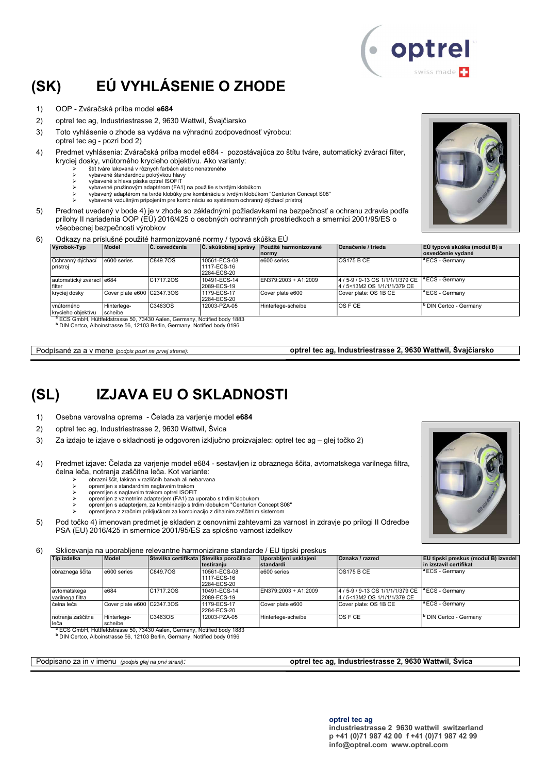# (SK) EÚ VYHLÁSENIE O ZHODE

1) OOP - Zváračská prilba model e684

2) optrel tec ag, Industriestrasse 2, 9630 Wattwil, Švajčiarsko

- 3) Toto vyhlásenie o zhode sa vydáva na výhradnú zodpovednosť výrobcu: optrel tec ag - pozri bod 2)
- 4) Predmet vyhlásenia: Zváračská prilba model e684 pozostávajúca zo štítu tváre, automatický zvárací filter, kryciej dosky, vnútorného krycieho objektívu. Ako varianty:
	- štít tváre lakovaná v rôznych farbách alebo nenatreného
	- vybavené štandardnou pokrývkou hlavy vybavené s hlava páska optrel ISOFIT
	- vybavené pružinovým adaptérom (FA1) na použitie s tvrdým klobúkom
	- vybavený adaptérom na tvrdé klobúky pre kombináciu s tvrdým klobúkom "Centurion Concept S08"
- vybavené vzdušným pripojením pre kombináciu so systémom ochranný dýchací prístroj 5) Predmet uvedený v bode 4) je v zhode so základnými požiadavkami na bezpečnosť a ochranu zdravia podľa
	- prílohy II nariadenia OOP (EÚ) 2016/425 o osobných ochranných prostriedkoch a smernici 2001/95/ES o všeobecnej bezpečnosti výrobkov
- 6) Odkazy na príslušné použité harmonizované normy / typová skúška EÚ

| Výrobok-Typ                        | <b>Model</b>               | ∣C. osvedčenia                                                                        | <b>C. skúšobnej správy</b>                 | Použité harmonizované<br><b>Inormy</b> | <b>Označenie / trieda</b>                                     | EÚ typová skúška (modul B) a<br>osvedčenie vydané |
|------------------------------------|----------------------------|---------------------------------------------------------------------------------------|--------------------------------------------|----------------------------------------|---------------------------------------------------------------|---------------------------------------------------|
| Ochranný dýchací<br>prístroi       | e600 series                | C849.7OS                                                                              | 10561-ECS-08<br>1117-ECS-16<br>2284-ECS-20 | e600 series                            | <b>OS175 B CE</b>                                             | <sup>a</sup> ECS - Germany                        |
| automatický zvárací e684<br>filter |                            | C1717.20S                                                                             | 10491-ECS-14<br>2089-ECS-19                | EN379:2003 + A1:2009                   | 4/5-9/9-13 OS 1/1/1/1/379 CE<br>l4 / 5<13M2 OS 1/1/1/1/379 CE | <sup>a</sup> ECS - Germany                        |
| kryciej dosky                      | Cover plate e600 C2347.3OS |                                                                                       | 1179-ECS-17<br>2284-ECS-20                 | Cover plate e600                       | Cover plate: OS 1B CE                                         | $\vert$ <sup>a</sup> ECS - Germany                |
| vnútorného<br>krvcieho obiektívu   | Hinterlege-<br>scheibe     | C3463OS<br>$3.500$ Over 11 11/44 and the same $50$ $70400$ $8$ and $90$ $1000$ $1000$ | 12003-PZA-05                               | Hinterlege-scheibe                     | IOS F CE                                                      | <sup>b</sup> DIN Certco - Germany                 |

<sup>a</sup> ECS GmbH, Hüttfeldstrasse 50, 73430 Aalen, Germany, Notified body 1883<br><sup>b</sup> DIN Certco, Alboinstrasse 56, 12103 Berlin, Germany, Notified body 0196

Podpísané za a v mene (podpis pozri na prvej strane): optrel tec ag, Industriestrasse 2, 9630 Wattwil, Švajčiarsko

### (SL) IZJAVA EU O SKLADNOSTI

- 1) Osebna varovalna oprema Čelada za varjenje model e684
- 2) optrel tec ag, Industriestrasse 2, 9630 Wattwil, Švica
- 3) Za izdajo te izjave o skladnosti je odgovoren izključno proizvajalec: optrel tec ag glej točko 2)
- 4) Predmet izjave: Čelada za varjenje model e684 sestavljen iz obraznega ščita, avtomatskega varilnega filtra, čelna leča, notranja zaščitna leča. Kot variante:
	- obrazni ščit, lakiran v različnih barvah ali nebarvana
	- opremljen s standardnim naglavnim trakom opremljen s naglavnim trakom optrel ISOFIT
	- opremljen z vzmetnim adapterjem (FA1) za uporabo s trdim klobukom
	- opremljen s adapterjem, za kombinacijo s trdim klobukom "Centurion Concept S08"
	- opremljena z zračnim priključkom za kombinacijo z dihalnim zaščitnim sistemom
- 5) Pod točko 4) imenovan predmet je skladen z osnovnimi zahtevami za varnost in zdravje po prilogi II Odredbe PSA (EU) 2016/425 in smernice 2001/95/ES za splošno varnost izdelkov

6) Sklicevanja na uporabljene relevantne harmonizirane standarde / EU tipski preskus

| Tip izdelka                      | Model                      |           | Stevilka certifikata Stevilka poročila o<br>Itestiraniu | Uporabljeni usklajeni<br><b>standardi</b> | Oznaka / razred                                                                         | EU tipski preskus (modul B) izvedel<br>in izstavil certifikat |
|----------------------------------|----------------------------|-----------|---------------------------------------------------------|-------------------------------------------|-----------------------------------------------------------------------------------------|---------------------------------------------------------------|
| obraznega ščita                  | e600 series                | C849.7OS  | 10561-ECS-08<br>1117-ECS-16<br>2284-ECS-20              | e600 series                               | <b>OS175 B CE</b>                                                                       | <sup>1ª</sup> ECS - Germany                                   |
| avtomatskega<br>varilnega filtra | e684                       | C1717.2OS | 10491-ECS-14<br>2089-ECS-19                             | EN379:2003 + A1:2009                      | 4/5-9/9-13 OS 1/1/1/1/379 CE <sup>a</sup> ECS - Germany<br>4 / 5<13M2 OS 1/1/1/1/379 CE |                                                               |
| čelna leča                       | Cover plate e600 C2347.3OS |           | 1179-ECS-17<br>2284-ECS-20                              | Cover plate e600                          | Cover plate: OS 1B CE                                                                   | $\vert$ <sup>a</sup> ECS - Germany                            |
| notranja zaščitna<br>lleča       | Hinterlege-<br>scheibe     | C3463OS   | 12003-PZA-05                                            | Hinterlege-scheibe                        | IOS F CE                                                                                | <sup>b</sup> DIN Certco - Germany                             |

leča scheibe <sup>a</sup> ECS GmbH, Hüttfeldstrasse 50, 73430 Aalen, Germany, Notified body 1883 b DIN Certco, Alboinstrasse 56, 12103 Berlin, Germany, Notified body 0196

#### Podpisano za in v imenu (podpis glej na prvi strani): **optrel tec ag, Industriestrasse 2, 9630 Wattwil, Švica**